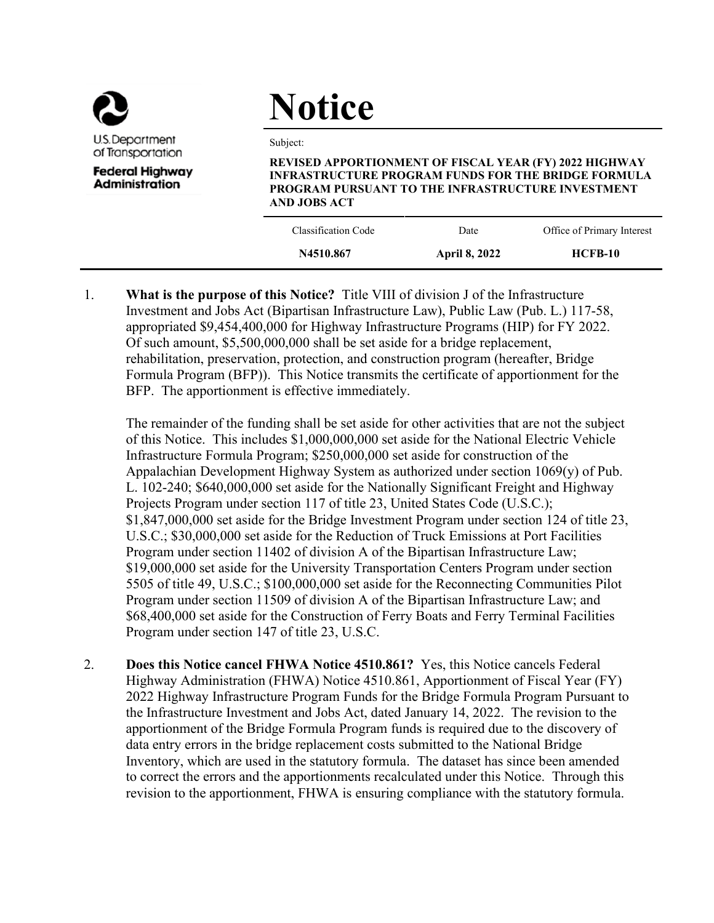

# **Notice**

Subject:

**REVISED APPORTIONMENT OF FISCAL YEAR (FY) 2022 HIGHWAY INFRASTRUCTURE PROGRAM FUNDS FOR THE BRIDGE FORMULA PROGRAM PURSUANT TO THE INFRASTRUCTURE INVESTMENT AND JOBS ACT**

| Classification Code<br>Office of Primary Interest<br>Date<br><b>HCFB-10</b><br>N4510.867<br><b>April 8, 2022</b> |  |  |
|------------------------------------------------------------------------------------------------------------------|--|--|
|                                                                                                                  |  |  |
|                                                                                                                  |  |  |

1. **What is the purpose of this Notice?** Title VIII of division J of the Infrastructure Investment and Jobs Act (Bipartisan Infrastructure Law), Public Law (Pub. L.) 117-58, appropriated \$9,454,400,000 for Highway Infrastructure Programs (HIP) for FY 2022. Of such amount, \$5,500,000,000 shall be set aside for a bridge replacement, rehabilitation, preservation, protection, and construction program (hereafter, Bridge Formula Program (BFP)). This Notice transmits the certificate of apportionment for the BFP. The apportionment is effective immediately.

The remainder of the funding shall be set aside for other activities that are not the subject of this Notice. This includes \$1,000,000,000 set aside for the National Electric Vehicle Infrastructure Formula Program; \$250,000,000 set aside for construction of the Appalachian Development Highway System as authorized under section 1069(y) of Pub. L. 102-240; \$640,000,000 set aside for the Nationally Significant Freight and Highway Projects Program under section 117 of title 23, United States Code (U.S.C.); \$1,847,000,000 set aside for the Bridge Investment Program under section 124 of title 23, U.S.C.; \$30,000,000 set aside for the Reduction of Truck Emissions at Port Facilities Program under section 11402 of division A of the Bipartisan Infrastructure Law; \$19,000,000 set aside for the University Transportation Centers Program under section 5505 of title 49, U.S.C.; \$100,000,000 set aside for the Reconnecting Communities Pilot Program under section 11509 of division A of the Bipartisan Infrastructure Law; and \$68,400,000 set aside for the Construction of Ferry Boats and Ferry Terminal Facilities Program under section 147 of title 23, U.S.C.

2. **Does this Notice cancel FHWA Notice 4510.861?** Yes, this Notice cancels Federal Highway Administration (FHWA) Notice 4510.861, Apportionment of Fiscal Year (FY) 2022 Highway Infrastructure Program Funds for the Bridge Formula Program Pursuant to the Infrastructure Investment and Jobs Act, dated January 14, 2022. The revision to the apportionment of the Bridge Formula Program funds is required due to the discovery of data entry errors in the bridge replacement costs submitted to the National Bridge Inventory, which are used in the statutory formula. The dataset has since been amended to correct the errors and the apportionments recalculated under this Notice. Through this revision to the apportionment, FHWA is ensuring compliance with the statutory formula.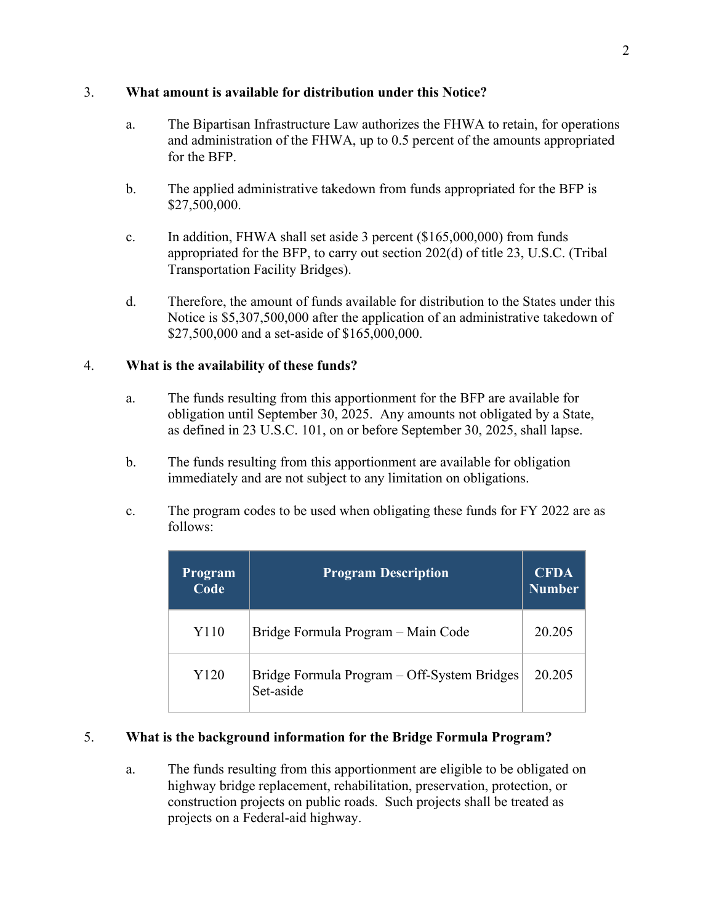## 3. **What amount is available for distribution under this Notice?**

- a. The Bipartisan Infrastructure Law authorizes the FHWA to retain, for operations and administration of the FHWA, up to 0.5 percent of the amounts appropriated for the BFP.
- b. The applied administrative takedown from funds appropriated for the BFP is \$27,500,000.
- c. In addition, FHWA shall set aside 3 percent (\$165,000,000) from funds appropriated for the BFP, to carry out section 202(d) of title 23, U.S.C. (Tribal Transportation Facility Bridges).
- d. Therefore, the amount of funds available for distribution to the States under this Notice is \$5,307,500,000 after the application of an administrative takedown of \$27,500,000 and a set-aside of \$165,000,000.

# 4. **What is the availability of these funds?**

- a. The funds resulting from this apportionment for the BFP are available for obligation until September 30, 2025. Any amounts not obligated by a State, as defined in 23 U.S.C. 101, on or before September 30, 2025, shall lapse.
- b. The funds resulting from this apportionment are available for obligation immediately and are not subject to any limitation on obligations.
- c. The program codes to be used when obligating these funds for FY 2022 are as follows:

| Program<br>Code | <b>Program Description</b>                               | <b>CFDA</b><br><b>Number</b> |
|-----------------|----------------------------------------------------------|------------------------------|
| Y110            | Bridge Formula Program – Main Code                       | 20.205                       |
| Y120            | Bridge Formula Program – Off-System Bridges<br>Set-aside | 20.205                       |

# 5. **What is the background information for the Bridge Formula Program?**

a. The funds resulting from this apportionment are eligible to be obligated on highway bridge replacement, rehabilitation, preservation, protection, or construction projects on public roads. Such projects shall be treated as projects on a Federal-aid highway.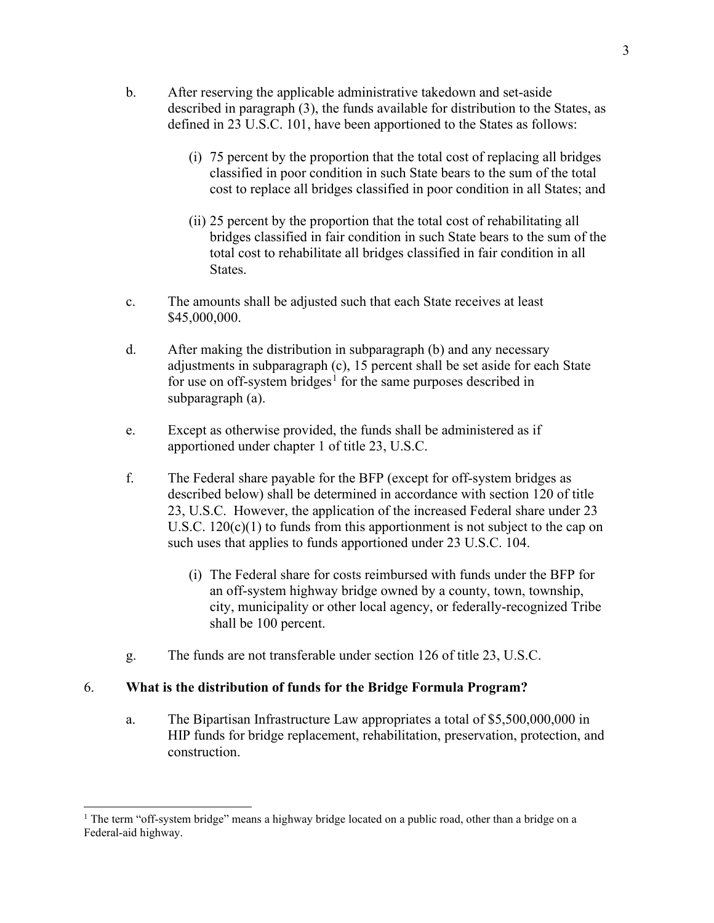- b. After reserving the applicable administrative takedown and set-aside described in paragraph (3), the funds available for distribution to the States, as defined in 23 U.S.C. 101, have been apportioned to the States as follows:
	- (i) 75 percent by the proportion that the total cost of replacing all bridges classified in poor condition in such State bears to the sum of the total cost to replace all bridges classified in poor condition in all States; and
	- (ii) 25 percent by the proportion that the total cost of rehabilitating all bridges classified in fair condition in such State bears to the sum of the total cost to rehabilitate all bridges classified in fair condition in all States.
- c. The amounts shall be adjusted such that each State receives at least \$45,000,000.
- d. After making the distribution in subparagraph (b) and any necessary adjustments in subparagraph (c), 15 percent shall be set aside for each State for use on off-system bridges<sup>[1](#page-2-0)</sup> for the same purposes described in subparagraph (a).
- e. Except as otherwise provided, the funds shall be administered as if apportioned under chapter 1 of title 23, U.S.C.
- f. The Federal share payable for the BFP (except for off-system bridges as described below) shall be determined in accordance with section 120 of title 23, U.S.C. However, the application of the increased Federal share under 23 U.S.C. 120(c)(1) to funds from this apportionment is not subject to the cap on such uses that applies to funds apportioned under 23 U.S.C. 104.
	- (i) The Federal share for costs reimbursed with funds under the BFP for an off-system highway bridge owned by a county, town, township, city, municipality or other local agency, or federally-recognized Tribe shall be 100 percent.
- g. The funds are not transferable under section 126 of title 23, U.S.C.

## 6. **What is the distribution of funds for the Bridge Formula Program?**

a. The Bipartisan Infrastructure Law appropriates a total of \$5,500,000,000 in HIP funds for bridge replacement, rehabilitation, preservation, protection, and construction.

<span id="page-2-0"></span><sup>&</sup>lt;sup>1</sup> The term "off-system bridge" means a highway bridge located on a public road, other than a bridge on a Federal-aid highway.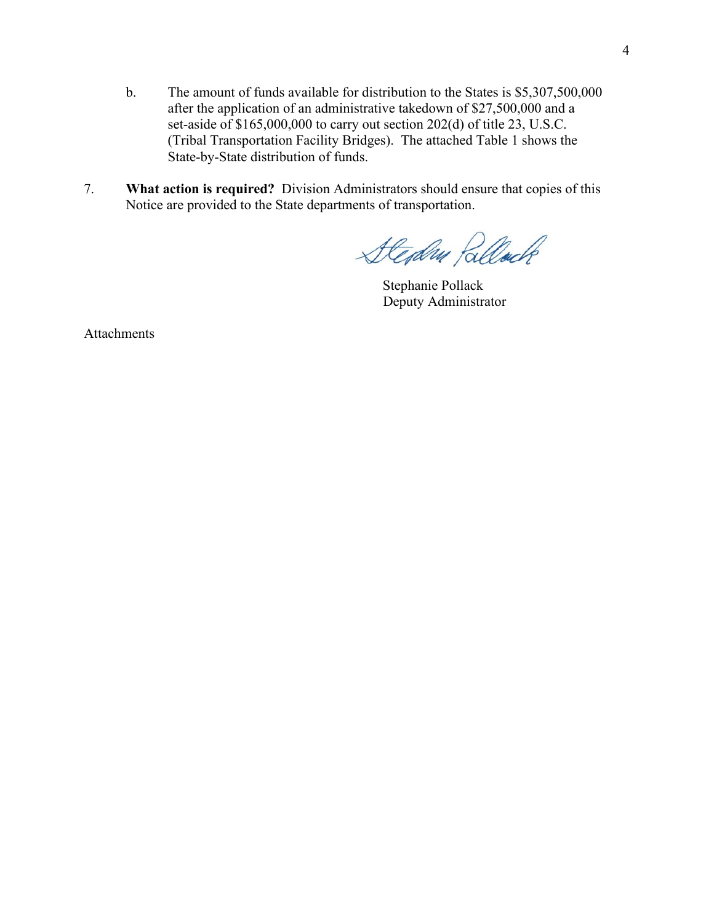- b. The amount of funds available for distribution to the States is \$5,307,500,000 after the application of an administrative takedown of \$27,500,000 and a set-aside of \$165,000,000 to carry out section 202(d) of title 23, U.S.C. (Tribal Transportation Facility Bridges). The attached Table 1 shows the State-by-State distribution of funds.
- 7. **What action is required?** Division Administrators should ensure that copies of this Notice are provided to the State departments of transportation.

Steday Rellack

Stephanie Pollack Deputy Administrator

Attachments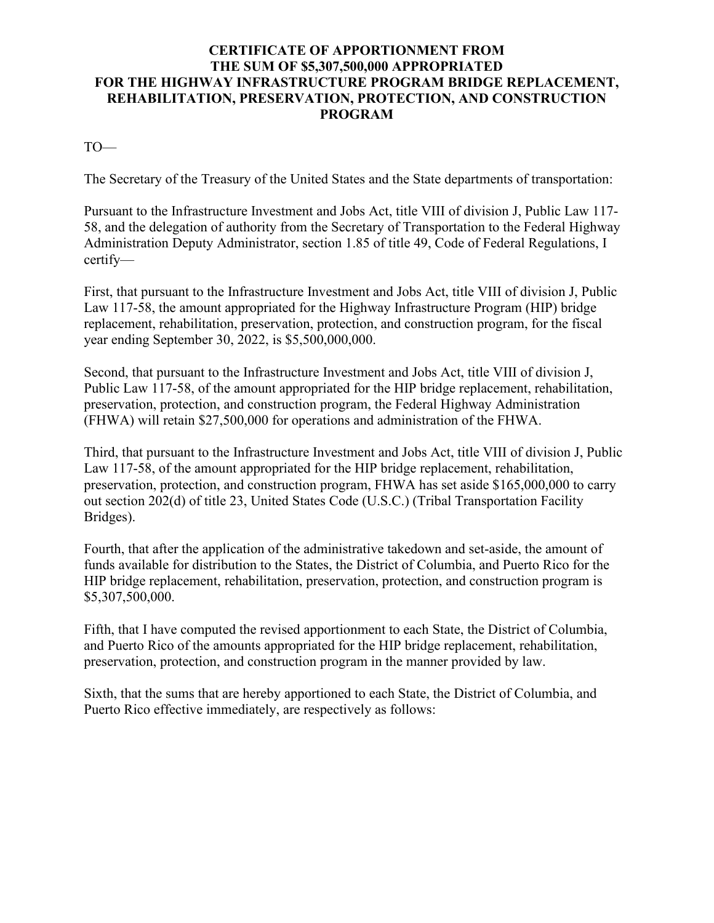# **CERTIFICATE OF APPORTIONMENT FROM THE SUM OF \$5,307,500,000 APPROPRIATED FOR THE HIGHWAY INFRASTRUCTURE PROGRAM BRIDGE REPLACEMENT, REHABILITATION, PRESERVATION, PROTECTION, AND CONSTRUCTION PROGRAM**

TO—

The Secretary of the Treasury of the United States and the State departments of transportation:

Pursuant to the Infrastructure Investment and Jobs Act, title VIII of division J, Public Law 117- 58, and the delegation of authority from the Secretary of Transportation to the Federal Highway Administration Deputy Administrator, section 1.85 of title 49, Code of Federal Regulations, I certify—

First, that pursuant to the Infrastructure Investment and Jobs Act, title VIII of division J, Public Law 117-58, the amount appropriated for the Highway Infrastructure Program (HIP) bridge replacement, rehabilitation, preservation, protection, and construction program, for the fiscal year ending September 30, 2022, is \$5,500,000,000.

Second, that pursuant to the Infrastructure Investment and Jobs Act, title VIII of division J, Public Law 117-58, of the amount appropriated for the HIP bridge replacement, rehabilitation, preservation, protection, and construction program, the Federal Highway Administration (FHWA) will retain \$27,500,000 for operations and administration of the FHWA.

Third, that pursuant to the Infrastructure Investment and Jobs Act, title VIII of division J, Public Law 117-58, of the amount appropriated for the HIP bridge replacement, rehabilitation, preservation, protection, and construction program, FHWA has set aside \$165,000,000 to carry out section 202(d) of title 23, United States Code (U.S.C.) (Tribal Transportation Facility Bridges).

Fourth, that after the application of the administrative takedown and set-aside, the amount of funds available for distribution to the States, the District of Columbia, and Puerto Rico for the HIP bridge replacement, rehabilitation, preservation, protection, and construction program is \$5,307,500,000.

Fifth, that I have computed the revised apportionment to each State, the District of Columbia, and Puerto Rico of the amounts appropriated for the HIP bridge replacement, rehabilitation, preservation, protection, and construction program in the manner provided by law.

Sixth, that the sums that are hereby apportioned to each State, the District of Columbia, and Puerto Rico effective immediately, are respectively as follows: